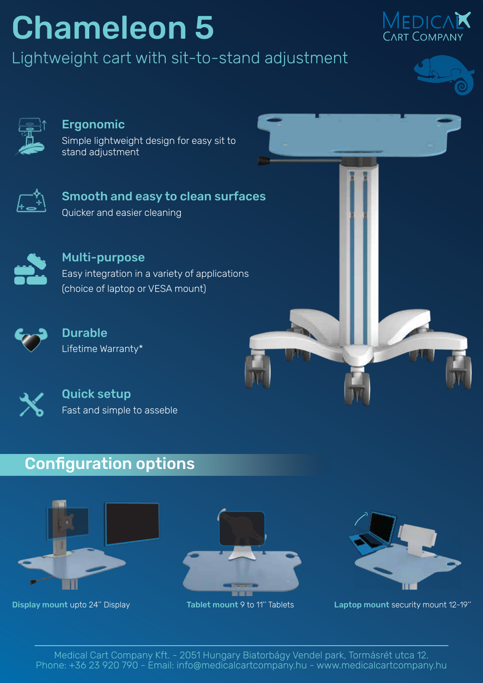## Chameleon 5

Lightweight cart with sit-to-stand adjustment







#### Ergonomic

Simple lightweight design for easy sit to stand adjustment



Smooth and easy to clean surfaces Quicker and easier cleaning



Multi-purpose Easy integration in a variety of applications (choice of laptop or VESA mount)



**Durable** Lifetime Warranty\*



Quick setup Fast and simple to asseble

#### Configuration options







Display mount upto 24" Display Tablet mount 9 to 11" Tablets Laptop mount security mount 12-19"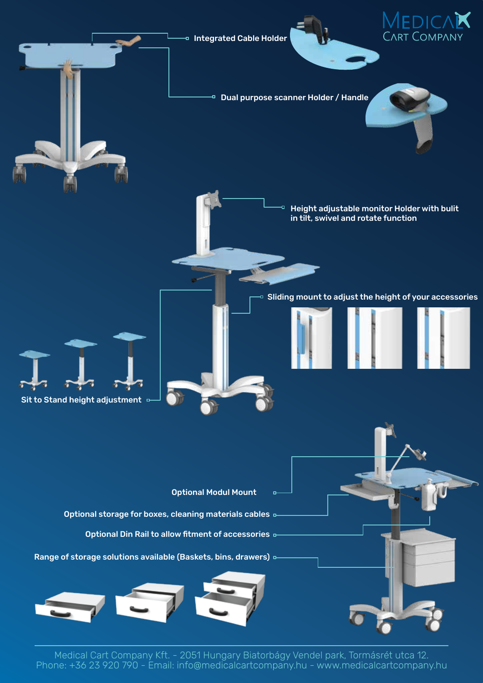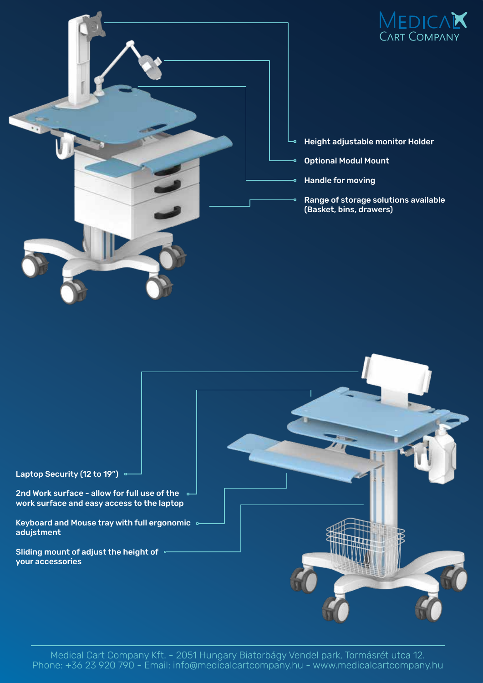

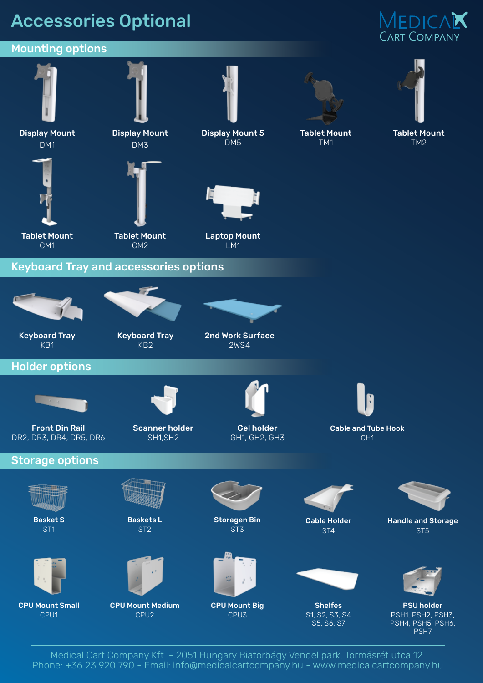### Accessories Optional

## MEDICA**K**<br>CART COMPANY